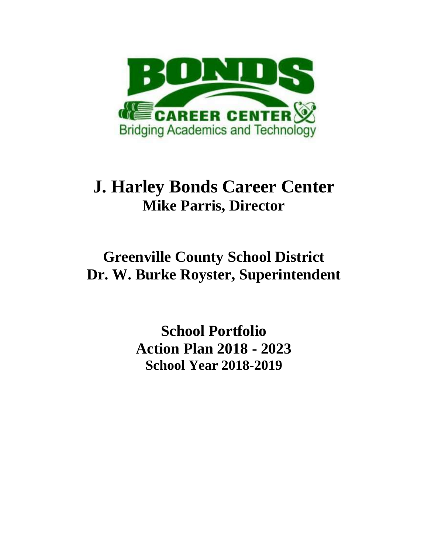

# **J. Harley Bonds Career Center Mike Parris, Director**

# **Greenville County School District Dr. W. Burke Royster, Superintendent**

**School Portfolio Action Plan 2018 - 2023 School Year 2018-2019**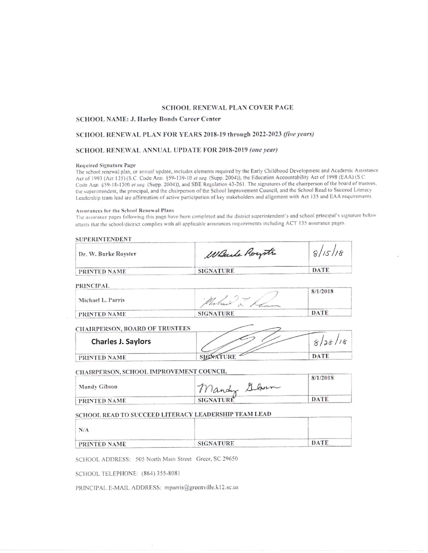#### SCHOOL RENEWAL PLAN COVER PAGE

#### SCHOOL NAME: J. Harley Bonds Career Center

#### SCHOOL RENEWAL PLAN FOR YEARS 2018-19 through 2022-2023 (five years)

#### SCHOOL RENEWAL ANNUAL UPDATE FOR 2018-2019 (one year)

#### Required Signature Page

The school renewal plan, or annual update, includes elements required by the Early Childhood Development and Academic Assistance Act of 1993 (Act 135) (S.C. Code Ann. §59-139-10 et seq. (Supp. 2004)), the Education Accountability Act of 1998 (EAA) (S.C. Code Ann. §59-18-1300 et seq. (Supp. 2004)), and SBE Regulation 43-261. The signatures of the chairperson of the board of trustees, the superintendent, the principal, and the chairperson of the School Improvement Council, and the School Read to Succeed Literacy Leadership team lead are affirmation of active participation of key stakeholders and alignment with Act 135 and EAA requirements.

#### Assurances for the School Renewal Plans

The assurance pages following this page have been completed and the district superintendent's and school principal's signature below attests that the school/district complies with all applicable assurances requirements including ACT 135 assurance pages.

#### **SUPERINTENDENT**

| Dr. W. Burke Royster | Wante Roystr     | 8/15/18 |
|----------------------|------------------|---------|
| PRINTED NAME         | <b>SIGNATURE</b> | DATE    |

**PRINCIPAL** 

| .<br>Michael L. Parris |                  | 8/1/2018 |
|------------------------|------------------|----------|
| PRINTED NAME           | <b>SIGNATURE</b> | DATE     |

#### **CHAIRPERSON, BOARD OF TRUSTEES**

| <b>Charles J. Saylors</b> |  |
|---------------------------|--|
| PRINTED NAME              |  |

#### CHAIRPERSON, SCHOOL IMPROVEMENT COUNCIL

|              |                  | 8/1/2018 |
|--------------|------------------|----------|
| Mandy Gibson | Mandy Glann      |          |
| PRINTED NAME | <b>SIGNATURE</b> | DATE     |

### SCHOOL READ TO SUCCEED LITERACY LEADERSHIP TEAM LEAD

| N/A          |                  |      |
|--------------|------------------|------|
| PRINTED NAME | <b>SIGNATURE</b> | DATE |

SCHOOL ADDRESS: 505 North Main Street Greer, SC 29650

SCHOOL TELEPHONE: (864) 355-8081

PRINCIPAL E-MAIL ADDRESS: mparris@greenville.kl2.sc.us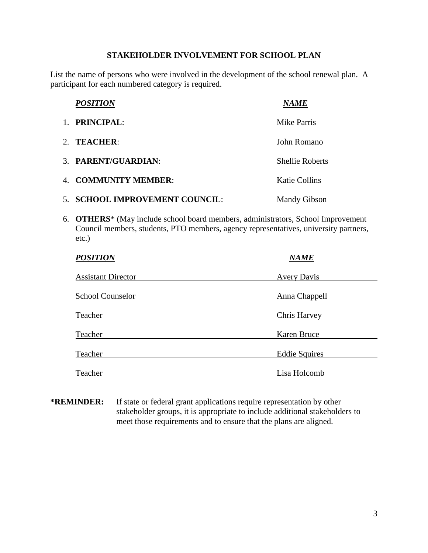## **STAKEHOLDER INVOLVEMENT FOR SCHOOL PLAN**

List the name of persons who were involved in the development of the school renewal plan. A participant for each numbered category is required.

| <b>POSITION</b>                | <i>NAME</i>            |
|--------------------------------|------------------------|
| 1. PRINCIPAL:                  | Mike Parris            |
| 2. TEACHER:                    | John Romano            |
| 3. PARENT/GUARDIAN:            | <b>Shellie Roberts</b> |
| 4. COMMUNITY MEMBER:           | <b>Katie Collins</b>   |
| 5. SCHOOL IMPROVEMENT COUNCIL: | <b>Mandy Gibson</b>    |

6. **OTHERS**\* (May include school board members, administrators, School Improvement Council members, students, PTO members, agency representatives, university partners, etc.)

|                    | <b>POSITION</b>           | <b>NAME</b>                          |  |
|--------------------|---------------------------|--------------------------------------|--|
|                    | <b>Assistant Director</b> | <b>Avery Davis</b>                   |  |
|                    | <b>School Counselor</b>   | <b>Anna Chappell</b>                 |  |
| Teacher            |                           | Chris Harvey                         |  |
| Teacher            |                           | Karen Bruce                          |  |
|                    |                           |                                      |  |
|                    |                           |                                      |  |
| Teacher<br>Teacher |                           | <b>Eddie Squires</b><br>Lisa Holcomb |  |

**\*REMINDER:** If state or federal grant applications require representation by other stakeholder groups, it is appropriate to include additional stakeholders to meet those requirements and to ensure that the plans are aligned.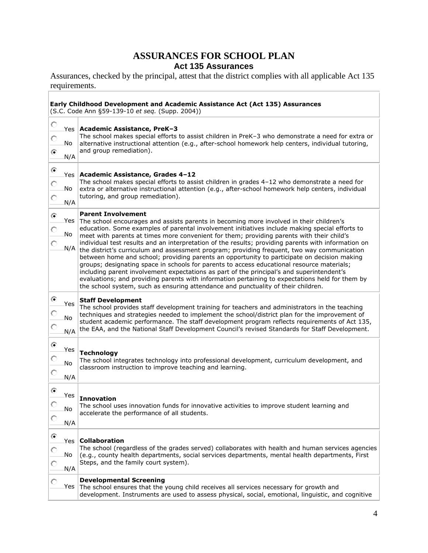## **ASSURANCES FOR SCHOOL PLAN Act 135 Assurances**

Assurances, checked by the principal, attest that the district complies with all applicable Act 135 requirements.

### **Early Childhood Development and Academic Assistance Act (Act 135) Assurances**

(S.C. Code Ann §59-139-10 *et seq.* (Supp. 2004))

| O<br>O<br>⊙       | No               | Yes Academic Assistance, PreK-3<br>The school makes special efforts to assist children in PreK-3 who demonstrate a need for extra or<br>alternative instructional attention (e.g., after-school homework help centers, individual tutoring,<br>and group remediation).                                                                                                                                                                                                                                                                                                                                                                                                                                                                                                                                                                                                                                                                                                                                                |
|-------------------|------------------|-----------------------------------------------------------------------------------------------------------------------------------------------------------------------------------------------------------------------------------------------------------------------------------------------------------------------------------------------------------------------------------------------------------------------------------------------------------------------------------------------------------------------------------------------------------------------------------------------------------------------------------------------------------------------------------------------------------------------------------------------------------------------------------------------------------------------------------------------------------------------------------------------------------------------------------------------------------------------------------------------------------------------|
|                   | N/A              |                                                                                                                                                                                                                                                                                                                                                                                                                                                                                                                                                                                                                                                                                                                                                                                                                                                                                                                                                                                                                       |
| ۰<br>O<br>O       | No<br>N/A        | Yes   Academic Assistance, Grades 4-12<br>The school makes special efforts to assist children in grades 4-12 who demonstrate a need for<br>extra or alternative instructional attention (e.g., after-school homework help centers, individual<br>tutoring, and group remediation).                                                                                                                                                                                                                                                                                                                                                                                                                                                                                                                                                                                                                                                                                                                                    |
| ⊙<br>O<br>O       | No               | <b>Parent Involvement</b><br>Yes The school encourages and assists parents in becoming more involved in their children's<br>education. Some examples of parental involvement initiatives include making special efforts to<br>meet with parents at times more convenient for them; providing parents with their child's<br>individual test results and an interpretation of the results; providing parents with information on<br>$N/A$ the district's curriculum and assessment program; providing frequent, two way communication<br>between home and school; providing parents an opportunity to participate on decision making<br>groups; designating space in schools for parents to access educational resource materials;<br>including parent involvement expectations as part of the principal's and superintendent's<br>evaluations; and providing parents with information pertaining to expectations held for them by<br>the school system, such as ensuring attendance and punctuality of their children. |
| ⊙<br>О<br>O       | Yes<br>No<br>N/A | <b>Staff Development</b><br>The school provides staff development training for teachers and administrators in the teaching<br>techniques and strategies needed to implement the school/district plan for the improvement of<br>student academic performance. The staff development program reflects requirements of Act 135,<br>the EAA, and the National Staff Development Council's revised Standards for Staff Development.                                                                                                                                                                                                                                                                                                                                                                                                                                                                                                                                                                                        |
| $\odot$<br>O<br>O | Yes<br>No<br>N/A | <b>Technology</b><br>The school integrates technology into professional development, curriculum development, and<br>classroom instruction to improve teaching and learning.                                                                                                                                                                                                                                                                                                                                                                                                                                                                                                                                                                                                                                                                                                                                                                                                                                           |
| ⊙<br>О            | Yes<br>No<br>N/A | <b>Innovation</b><br>The school uses innovation funds for innovative activities to improve student learning and<br>accelerate the performance of all students.                                                                                                                                                                                                                                                                                                                                                                                                                                                                                                                                                                                                                                                                                                                                                                                                                                                        |
| ⊙                 | No<br>N/A        | Yes   Collaboration<br>The school (regardless of the grades served) collaborates with health and human services agencies<br>(e.g., county health departments, social services departments, mental health departments, First<br>Steps, and the family court system).                                                                                                                                                                                                                                                                                                                                                                                                                                                                                                                                                                                                                                                                                                                                                   |
|                   |                  | <b>Developmental Screening</b><br>Yes The school ensures that the young child receives all services necessary for growth and<br>development. Instruments are used to assess physical, social, emotional, linguistic, and cognitive                                                                                                                                                                                                                                                                                                                                                                                                                                                                                                                                                                                                                                                                                                                                                                                    |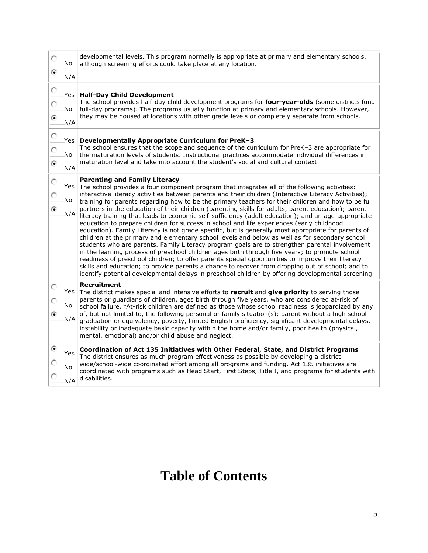| O<br>⊙  | No      | developmental levels. This program normally is appropriate at primary and elementary schools,<br>although screening efforts could take place at any location.                                                                                                                                                                                                                                                                                                                                                                                                                                                                                                                                                                                                                                                                                                                                                                    |
|---------|---------|----------------------------------------------------------------------------------------------------------------------------------------------------------------------------------------------------------------------------------------------------------------------------------------------------------------------------------------------------------------------------------------------------------------------------------------------------------------------------------------------------------------------------------------------------------------------------------------------------------------------------------------------------------------------------------------------------------------------------------------------------------------------------------------------------------------------------------------------------------------------------------------------------------------------------------|
|         | N/A     |                                                                                                                                                                                                                                                                                                                                                                                                                                                                                                                                                                                                                                                                                                                                                                                                                                                                                                                                  |
| $\circ$ | Yes $ $ | <b>Half-Day Child Development</b>                                                                                                                                                                                                                                                                                                                                                                                                                                                                                                                                                                                                                                                                                                                                                                                                                                                                                                |
| O       | No      | The school provides half-day child development programs for four-year-olds (some districts fund<br>full-day programs). The programs usually function at primary and elementary schools. However,                                                                                                                                                                                                                                                                                                                                                                                                                                                                                                                                                                                                                                                                                                                                 |
| ⊙       | N/A     | they may be housed at locations with other grade levels or completely separate from schools.                                                                                                                                                                                                                                                                                                                                                                                                                                                                                                                                                                                                                                                                                                                                                                                                                                     |
| $\circ$ | Yes $ $ | Developmentally Appropriate Curriculum for PreK-3                                                                                                                                                                                                                                                                                                                                                                                                                                                                                                                                                                                                                                                                                                                                                                                                                                                                                |
| O       | No      | The school ensures that the scope and sequence of the curriculum for PreK-3 are appropriate for<br>the maturation levels of students. Instructional practices accommodate individual differences in                                                                                                                                                                                                                                                                                                                                                                                                                                                                                                                                                                                                                                                                                                                              |
| ⊙       | N/A     | maturation level and take into account the student's social and cultural context.                                                                                                                                                                                                                                                                                                                                                                                                                                                                                                                                                                                                                                                                                                                                                                                                                                                |
|         |         | <b>Parenting and Family Literacy</b>                                                                                                                                                                                                                                                                                                                                                                                                                                                                                                                                                                                                                                                                                                                                                                                                                                                                                             |
| O       |         | Yes The school provides a four component program that integrates all of the following activities:                                                                                                                                                                                                                                                                                                                                                                                                                                                                                                                                                                                                                                                                                                                                                                                                                                |
| O       | No      | interactive literacy activities between parents and their children (Interactive Literacy Activities);<br>training for parents regarding how to be the primary teachers for their children and how to be full                                                                                                                                                                                                                                                                                                                                                                                                                                                                                                                                                                                                                                                                                                                     |
| ۵       |         | partners in the education of their children (parenting skills for adults, parent education); parent                                                                                                                                                                                                                                                                                                                                                                                                                                                                                                                                                                                                                                                                                                                                                                                                                              |
|         |         | N/A literacy training that leads to economic self-sufficiency (adult education); and an age-appropriate<br>education to prepare children for success in school and life experiences (early childhood<br>education). Family Literacy is not grade specific, but is generally most appropriate for parents of<br>children at the primary and elementary school levels and below as well as for secondary school<br>students who are parents. Family Literacy program goals are to strengthen parental involvement<br>in the learning process of preschool children ages birth through five years; to promote school<br>readiness of preschool children; to offer parents special opportunities to improve their literacy<br>skills and education; to provide parents a chance to recover from dropping out of school; and to<br>identify potential developmental delays in preschool children by offering developmental screening. |
| O       |         | Recruitment                                                                                                                                                                                                                                                                                                                                                                                                                                                                                                                                                                                                                                                                                                                                                                                                                                                                                                                      |
|         |         | Yes The district makes special and intensive efforts to recruit and give priority to serving those<br>parents or guardians of children, ages birth through five years, who are considered at-risk of                                                                                                                                                                                                                                                                                                                                                                                                                                                                                                                                                                                                                                                                                                                             |
| ⋒       | No      | school failure. "At-risk children are defined as those whose school readiness is jeopardized by any<br>of, but not limited to, the following personal or family situation(s): parent without a high school                                                                                                                                                                                                                                                                                                                                                                                                                                                                                                                                                                                                                                                                                                                       |
|         | N/A     | graduation or equivalency, poverty, limited English proficiency, significant developmental delays,<br>instability or inadequate basic capacity within the home and/or family, poor health (physical,<br>mental, emotional) and/or child abuse and neglect.                                                                                                                                                                                                                                                                                                                                                                                                                                                                                                                                                                                                                                                                       |
| ⊙       | Yes     | Coordination of Act 135 Initiatives with Other Federal, State, and District Programs                                                                                                                                                                                                                                                                                                                                                                                                                                                                                                                                                                                                                                                                                                                                                                                                                                             |
|         | No      | The district ensures as much program effectiveness as possible by developing a district-<br>wide/school-wide coordinated effort among all programs and funding. Act 135 initiatives are                                                                                                                                                                                                                                                                                                                                                                                                                                                                                                                                                                                                                                                                                                                                          |
|         |         | coordinated with programs such as Head Start, First Steps, Title I, and programs for students with<br>disabilities.                                                                                                                                                                                                                                                                                                                                                                                                                                                                                                                                                                                                                                                                                                                                                                                                              |
|         | N/A     |                                                                                                                                                                                                                                                                                                                                                                                                                                                                                                                                                                                                                                                                                                                                                                                                                                                                                                                                  |

# **Table of Contents**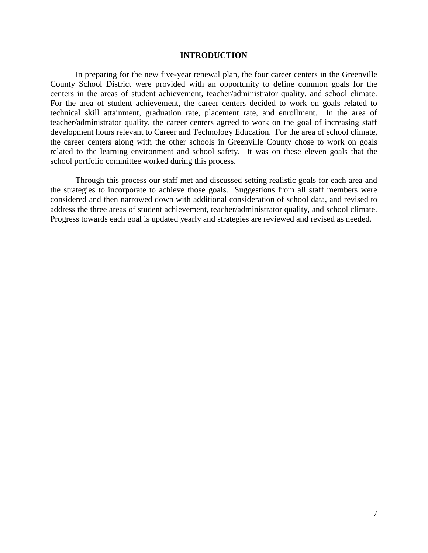## **INTRODUCTION**

In preparing for the new five-year renewal plan, the four career centers in the Greenville County School District were provided with an opportunity to define common goals for the centers in the areas of student achievement, teacher/administrator quality, and school climate. For the area of student achievement, the career centers decided to work on goals related to technical skill attainment, graduation rate, placement rate, and enrollment. In the area of teacher/administrator quality, the career centers agreed to work on the goal of increasing staff development hours relevant to Career and Technology Education. For the area of school climate, the career centers along with the other schools in Greenville County chose to work on goals related to the learning environment and school safety. It was on these eleven goals that the school portfolio committee worked during this process.

Through this process our staff met and discussed setting realistic goals for each area and the strategies to incorporate to achieve those goals. Suggestions from all staff members were considered and then narrowed down with additional consideration of school data, and revised to address the three areas of student achievement, teacher/administrator quality, and school climate. Progress towards each goal is updated yearly and strategies are reviewed and revised as needed.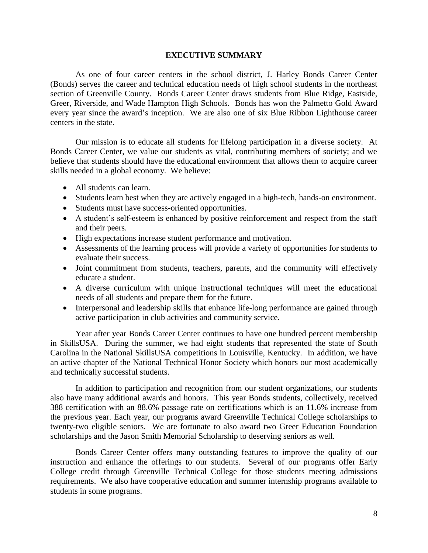### **EXECUTIVE SUMMARY**

As one of four career centers in the school district, J. Harley Bonds Career Center (Bonds) serves the career and technical education needs of high school students in the northeast section of Greenville County. Bonds Career Center draws students from Blue Ridge, Eastside, Greer, Riverside, and Wade Hampton High Schools. Bonds has won the Palmetto Gold Award every year since the award's inception. We are also one of six Blue Ribbon Lighthouse career centers in the state.

Our mission is to educate all students for lifelong participation in a diverse society. At Bonds Career Center, we value our students as vital, contributing members of society; and we believe that students should have the educational environment that allows them to acquire career skills needed in a global economy. We believe:

- All students can learn.
- Students learn best when they are actively engaged in a high-tech, hands-on environment.
- Students must have success-oriented opportunities.
- A student's self-esteem is enhanced by positive reinforcement and respect from the staff and their peers.
- High expectations increase student performance and motivation.
- Assessments of the learning process will provide a variety of opportunities for students to evaluate their success.
- Joint commitment from students, teachers, parents, and the community will effectively educate a student.
- A diverse curriculum with unique instructional techniques will meet the educational needs of all students and prepare them for the future.
- Interpersonal and leadership skills that enhance life-long performance are gained through active participation in club activities and community service.

Year after year Bonds Career Center continues to have one hundred percent membership in SkillsUSA. During the summer, we had eight students that represented the state of South Carolina in the National SkillsUSA competitions in Louisville, Kentucky. In addition, we have an active chapter of the National Technical Honor Society which honors our most academically and technically successful students.

In addition to participation and recognition from our student organizations, our students also have many additional awards and honors. This year Bonds students, collectively, received 388 certification with an 88.6% passage rate on certifications which is an 11.6% increase from the previous year. Each year, our programs award Greenville Technical College scholarships to twenty-two eligible seniors. We are fortunate to also award two Greer Education Foundation scholarships and the Jason Smith Memorial Scholarship to deserving seniors as well.

Bonds Career Center offers many outstanding features to improve the quality of our instruction and enhance the offerings to our students. Several of our programs offer Early College credit through Greenville Technical College for those students meeting admissions requirements. We also have cooperative education and summer internship programs available to students in some programs.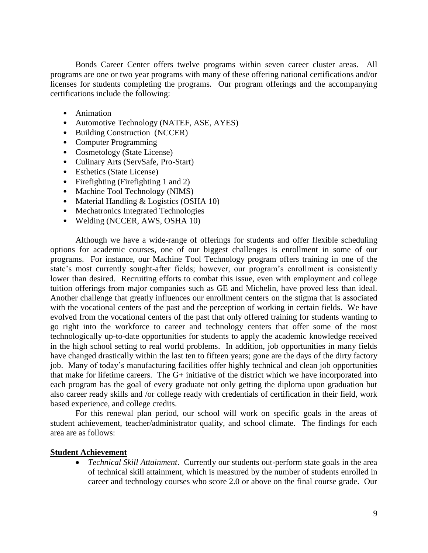Bonds Career Center offers twelve programs within seven career cluster areas. All programs are one or two year programs with many of these offering national certifications and/or licenses for students completing the programs. Our program offerings and the accompanying certifications include the following:

- Animation
- Automotive Technology (NATEF, ASE, AYES)
- Building Construction (NCCER)
- Computer Programming
- Cosmetology (State License)
- Culinary Arts (ServSafe, Pro-Start)
- Esthetics (State License)
- Firefighting (Firefighting 1 and 2)
- Machine Tool Technology (NIMS)
- Material Handling & Logistics (OSHA 10)
- Mechatronics Integrated Technologies
- Welding (NCCER, AWS, OSHA 10)

Although we have a wide-range of offerings for students and offer flexible scheduling options for academic courses, one of our biggest challenges is enrollment in some of our programs. For instance, our Machine Tool Technology program offers training in one of the state's most currently sought-after fields; however, our program's enrollment is consistently lower than desired. Recruiting efforts to combat this issue, even with employment and college tuition offerings from major companies such as GE and Michelin, have proved less than ideal. Another challenge that greatly influences our enrollment centers on the stigma that is associated with the vocational centers of the past and the perception of working in certain fields. We have evolved from the vocational centers of the past that only offered training for students wanting to go right into the workforce to career and technology centers that offer some of the most technologically up-to-date opportunities for students to apply the academic knowledge received in the high school setting to real world problems. In addition, job opportunities in many fields have changed drastically within the last ten to fifteen years; gone are the days of the dirty factory job. Many of today's manufacturing facilities offer highly technical and clean job opportunities that make for lifetime careers. The G+ initiative of the district which we have incorporated into each program has the goal of every graduate not only getting the diploma upon graduation but also career ready skills and /or college ready with credentials of certification in their field, work based experience, and college credits.

For this renewal plan period, our school will work on specific goals in the areas of student achievement, teacher/administrator quality, and school climate. The findings for each area are as follows:

## **Student Achievement**

 *Technical Skill Attainment*. Currently our students out-perform state goals in the area of technical skill attainment, which is measured by the number of students enrolled in career and technology courses who score 2.0 or above on the final course grade. Our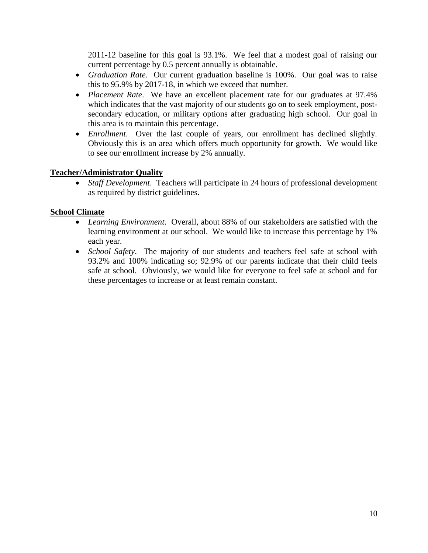2011-12 baseline for this goal is 93.1%. We feel that a modest goal of raising our current percentage by 0.5 percent annually is obtainable.

- *Graduation Rate*. Our current graduation baseline is 100%. Our goal was to raise this to 95.9% by 2017-18, in which we exceed that number.
- *Placement Rate*. We have an excellent placement rate for our graduates at 97.4% which indicates that the vast majority of our students go on to seek employment, postsecondary education, or military options after graduating high school. Our goal in this area is to maintain this percentage.
- *Enrollment*. Over the last couple of years, our enrollment has declined slightly. Obviously this is an area which offers much opportunity for growth. We would like to see our enrollment increase by 2% annually.

## **Teacher/Administrator Quality**

 *Staff Development*. Teachers will participate in 24 hours of professional development as required by district guidelines.

## **School Climate**

- *Learning Environment*. Overall, about 88% of our stakeholders are satisfied with the learning environment at our school. We would like to increase this percentage by 1% each year.
- *School Safety*. The majority of our students and teachers feel safe at school with 93.2% and 100% indicating so; 92.9% of our parents indicate that their child feels safe at school. Obviously, we would like for everyone to feel safe at school and for these percentages to increase or at least remain constant.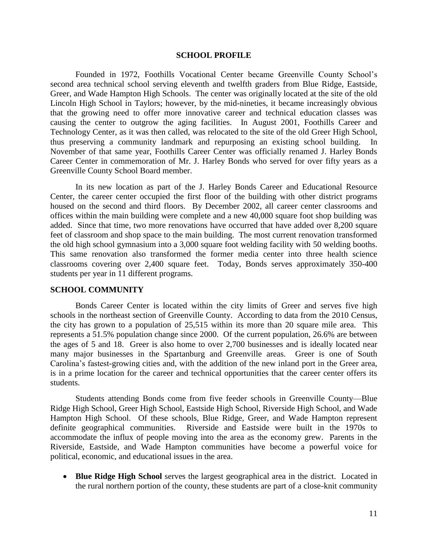#### **SCHOOL PROFILE**

Founded in 1972, Foothills Vocational Center became Greenville County School's second area technical school serving eleventh and twelfth graders from Blue Ridge, Eastside, Greer, and Wade Hampton High Schools. The center was originally located at the site of the old Lincoln High School in Taylors; however, by the mid-nineties, it became increasingly obvious that the growing need to offer more innovative career and technical education classes was causing the center to outgrow the aging facilities. In August 2001, Foothills Career and Technology Center, as it was then called, was relocated to the site of the old Greer High School, thus preserving a community landmark and repurposing an existing school building. November of that same year, Foothills Career Center was officially renamed J. Harley Bonds Career Center in commemoration of Mr. J. Harley Bonds who served for over fifty years as a Greenville County School Board member.

In its new location as part of the J. Harley Bonds Career and Educational Resource Center, the career center occupied the first floor of the building with other district programs housed on the second and third floors. By December 2002, all career center classrooms and offices within the main building were complete and a new 40,000 square foot shop building was added. Since that time, two more renovations have occurred that have added over 8,200 square feet of classroom and shop space to the main building. The most current renovation transformed the old high school gymnasium into a 3,000 square foot welding facility with 50 welding booths. This same renovation also transformed the former media center into three health science classrooms covering over 2,400 square feet. Today, Bonds serves approximately 350-400 students per year in 11 different programs.

## **SCHOOL COMMUNITY**

Bonds Career Center is located within the city limits of Greer and serves five high schools in the northeast section of Greenville County. According to data from the 2010 Census, the city has grown to a population of 25,515 within its more than 20 square mile area. This represents a 51.5% population change since 2000. Of the current population, 26.6% are between the ages of 5 and 18. Greer is also home to over 2,700 businesses and is ideally located near many major businesses in the Spartanburg and Greenville areas. Greer is one of South Carolina's fastest-growing cities and, with the addition of the new inland port in the Greer area, is in a prime location for the career and technical opportunities that the career center offers its students.

Students attending Bonds come from five feeder schools in Greenville County—Blue Ridge High School, Greer High School, Eastside High School, Riverside High School, and Wade Hampton High School. Of these schools, Blue Ridge, Greer, and Wade Hampton represent definite geographical communities. Riverside and Eastside were built in the 1970s to accommodate the influx of people moving into the area as the economy grew. Parents in the Riverside, Eastside, and Wade Hampton communities have become a powerful voice for political, economic, and educational issues in the area.

 **Blue Ridge High School** serves the largest geographical area in the district. Located in the rural northern portion of the county, these students are part of a close-knit community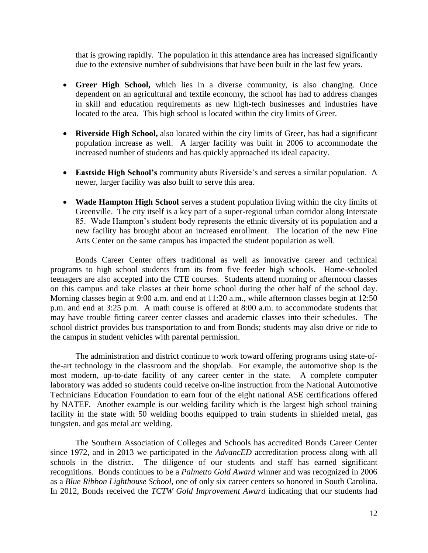that is growing rapidly. The population in this attendance area has increased significantly due to the extensive number of subdivisions that have been built in the last few years.

- **Greer High School,** which lies in a diverse community, is also changing. Once dependent on an agricultural and textile economy, the school has had to address changes in skill and education requirements as new high-tech businesses and industries have located to the area. This high school is located within the city limits of Greer.
- **Riverside High School,** also located within the city limits of Greer, has had a significant population increase as well. A larger facility was built in 2006 to accommodate the increased number of students and has quickly approached its ideal capacity.
- **Eastside High School's** community abuts Riverside's and serves a similar population. A newer, larger facility was also built to serve this area.
- **Wade Hampton High School** serves a student population living within the city limits of Greenville. The city itself is a key part of a super-regional urban corridor along Interstate 85. Wade Hampton's student body represents the ethnic diversity of its population and a new facility has brought about an increased enrollment. The location of the new Fine Arts Center on the same campus has impacted the student population as well.

Bonds Career Center offers traditional as well as innovative career and technical programs to high school students from its from five feeder high schools. Home-schooled teenagers are also accepted into the CTE courses. Students attend morning or afternoon classes on this campus and take classes at their home school during the other half of the school day. Morning classes begin at 9:00 a.m. and end at 11:20 a.m., while afternoon classes begin at 12:50 p.m. and end at 3:25 p.m. A math course is offered at 8:00 a.m. to accommodate students that may have trouble fitting career center classes and academic classes into their schedules. The school district provides bus transportation to and from Bonds; students may also drive or ride to the campus in student vehicles with parental permission.

The administration and district continue to work toward offering programs using state-ofthe-art technology in the classroom and the shop/lab. For example, the automotive shop is the most modern, up-to-date facility of any career center in the state.A complete computer laboratory was added so students could receive on-line instruction from the National Automotive Technicians Education Foundation to earn four of the eight national ASE certifications offered by NATEF. Another example is our welding facility which is the largest high school training facility in the state with 50 welding booths equipped to train students in shielded metal, gas tungsten, and gas metal arc welding.

The Southern Association of Colleges and Schools has accredited Bonds Career Center since 1972, and in 2013 we participated in the *AdvancED* accreditation process along with all schools in the district. The diligence of our students and staff has earned significant recognitions. Bonds continues to be a *Palmetto Gold Award* winner and was recognized in 2006 as a *Blue Ribbon Lighthouse School*, one of only six career centers so honored in South Carolina. In 2012, Bonds received the *TCTW Gold Improvement Award* indicating that our students had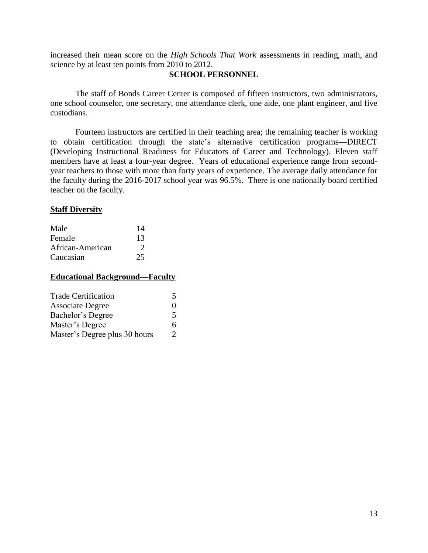increased their mean score on the *High Schools That Work* assessments in reading, math, and science by at least ten points from 2010 to 2012.

## **SCHOOL PERSONNEL**

The staff of Bonds Career Center is composed of fifteen instructors, two administrators, one school counselor, one secretary, one attendance clerk, one aide, one plant engineer, and five custodians.

Fourteen instructors are certified in their teaching area; the remaining teacher is working to obtain certification through the state's alternative certification programs—DIRECT (Developing Instructional Readiness for Educators of Career and Technology). Eleven staff members have at least a four-year degree. Years of educational experience range from secondyear teachers to those with more than forty years of experience. The average daily attendance for the faculty during the 2016-2017 school year was 96.5%. There is one nationally board certified teacher on the faculty.

## **Staff Diversity**

| Male             | 14 |
|------------------|----|
| Female           | 13 |
| African-American | 2  |
| Caucasian        | 25 |

## **Educational Background—Faculty**

| <b>Trade Certification</b>    | 5             |
|-------------------------------|---------------|
| <b>Associate Degree</b>       | $\mathbf{0}$  |
| Bachelor's Degree             | 5             |
| Master's Degree               | 6             |
| Master's Degree plus 30 hours | $\mathcal{D}$ |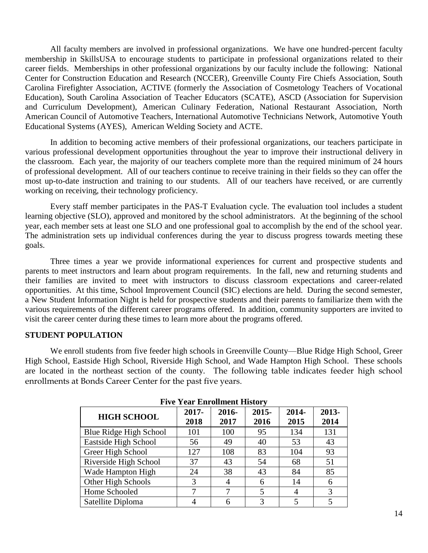All faculty members are involved in professional organizations. We have one hundred-percent faculty membership in SkillsUSA to encourage students to participate in professional organizations related to their career fields. Memberships in other professional organizations by our faculty include the following: National Center for Construction Education and Research (NCCER), Greenville County Fire Chiefs Association, South Carolina Firefighter Association, ACTIVE (formerly the Association of Cosmetology Teachers of Vocational Education), South Carolina Association of Teacher Educators (SCATE), ASCD (Association for Supervision and Curriculum Development), American Culinary Federation, National Restaurant Association, North American Council of Automotive Teachers, International Automotive Technicians Network, Automotive Youth Educational Systems (AYES), American Welding Society and ACTE.

In addition to becoming active members of their professional organizations, our teachers participate in various professional development opportunities throughout the year to improve their instructional delivery in the classroom. Each year, the majority of our teachers complete more than the required minimum of 24 hours of professional development. All of our teachers continue to receive training in their fields so they can offer the most up-to-date instruction and training to our students. All of our teachers have received, or are currently working on receiving, their technology proficiency.

Every staff member participates in the PAS-T Evaluation cycle. The evaluation tool includes a student learning objective (SLO), approved and monitored by the school administrators. At the beginning of the school year, each member sets at least one SLO and one professional goal to accomplish by the end of the school year. The administration sets up individual conferences during the year to discuss progress towards meeting these goals.

Three times a year we provide informational experiences for current and prospective students and parents to meet instructors and learn about program requirements. In the fall, new and returning students and their families are invited to meet with instructors to discuss classroom expectations and career-related opportunities. At this time, School Improvement Council (SIC) elections are held. During the second semester, a New Student Information Night is held for prospective students and their parents to familiarize them with the various requirements of the different career programs offered. In addition, community supporters are invited to visit the career center during these times to learn more about the programs offered.

## **STUDENT POPULATION**

We enroll students from five feeder high schools in Greenville County—Blue Ridge High School, Greer High School, Eastside High School, Riverside High School, and Wade Hampton High School. These schools are located in the northeast section of the county. The following table indicates feeder high school enrollments at Bonds Career Center for the past five years.

| <b>Five Year Enrollment History</b> |                  |               |                  |               |               |  |  |  |  |
|-------------------------------------|------------------|---------------|------------------|---------------|---------------|--|--|--|--|
| <b>HIGH SCHOOL</b>                  | $2017 -$<br>2018 | 2016-<br>2017 | $2015 -$<br>2016 | 2014-<br>2015 | 2013-<br>2014 |  |  |  |  |
| Blue Ridge High School              | 101              | 100           | 95               | 134           | 131           |  |  |  |  |
| Eastside High School                | 56               | 49            | 40               | 53            | 43            |  |  |  |  |
| Greer High School                   | 127              | 108           | 83               | 104           | 93            |  |  |  |  |
| Riverside High School               | 37               | 43            | 54               | 68            | 51            |  |  |  |  |
| Wade Hampton High                   | 24               | 38            | 43               | 84            | 85            |  |  |  |  |
| Other High Schools                  | 3                |               | 6                | 14            | 6             |  |  |  |  |
| Home Schooled                       |                  |               | 5                | 4             | 3             |  |  |  |  |
| Satellite Diploma                   |                  |               |                  |               |               |  |  |  |  |

**Five Year Enrollment History**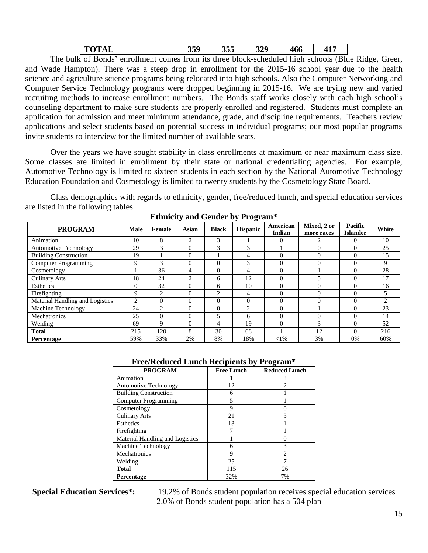| <b>TOTAL</b> | 359 | 355 | 329 | 466 | $\Lambda$ |
|--------------|-----|-----|-----|-----|-----------|
|--------------|-----|-----|-----|-----|-----------|

The bulk of Bonds' enrollment comes from its three block-scheduled high schools (Blue Ridge, Greer, and Wade Hampton). There was a steep drop in enrollment for the 2015-16 school year due to the health science and agriculture science programs being relocated into high schools. Also the Computer Networking and Computer Service Technology programs were dropped beginning in 2015-16. We are trying new and varied recruiting methods to increase enrollment numbers. The Bonds staff works closely with each high school's counseling department to make sure students are properly enrolled and registered. Students must complete an application for admission and meet minimum attendance, grade, and discipline requirements. Teachers review applications and select students based on potential success in individual programs; our most popular programs invite students to interview for the limited number of available seats.

Over the years we have sought stability in class enrollments at maximum or near maximum class size. Some classes are limited in enrollment by their state or national credentialing agencies. For example, Automotive Technology is limited to sixteen students in each section by the National Automotive Technology Education Foundation and Cosmetology is limited to twenty students by the Cosmetology State Board.

Class demographics with regards to ethnicity, gender, free/reduced lunch, and special education services are listed in the following tables.

| <b>PROGRAM</b>                  | <b>Male</b> | Female         | Asian          | <b>Black</b> | <b>Hispanic</b> | American<br><b>Indian</b> | Mixed, 2 or<br>more races | Pacific<br><b>Islander</b> | White |
|---------------------------------|-------------|----------------|----------------|--------------|-----------------|---------------------------|---------------------------|----------------------------|-------|
| Animation                       | 10          | 8              | $\overline{c}$ | 3            |                 | $\theta$                  | 2                         | $\theta$                   | 10    |
| <b>Automotive Technology</b>    | 29          | 3              | $\Omega$       | 3            | 3               |                           | $\Omega$                  | $\Omega$                   | 25    |
| <b>Building Construction</b>    | 19          |                | $\Omega$       |              | 4               |                           | $\Omega$                  | $\Omega$                   | 15    |
| <b>Computer Programming</b>     | 9           | 3              | $\Omega$       | $\Omega$     | 3               | $\Omega$                  | $\Omega$                  | $\Omega$                   | 9     |
| Cosmetology                     |             | 36             | 4              | $\Omega$     | 4               | 0                         |                           | $\Omega$                   | 28    |
| <b>Culinary Arts</b>            | 18          | 24             | 2              | 6            | 12              |                           | 5                         | $\Omega$                   | 17    |
| Esthetics                       | 0           | 32             | $\Omega$       | 6            | 10              | $\Omega$                  | $\Omega$                  | $\Omega$                   | 16    |
| Firefighting                    | 9           | C              | $\Omega$       | 2            | $\overline{4}$  |                           | $\Omega$                  | $\Omega$                   |       |
| Material Handling and Logistics | 2           | $\Omega$       | $\Omega$       | $\Omega$     | $\Omega$        | $\theta$                  | $\Omega$                  | $\Omega$                   | 2     |
| Machine Technology              | 24          | $\overline{c}$ | $\Omega$       | $\Omega$     | 2               | $\theta$                  |                           | $\Omega$                   | 23    |
| Mechatronics                    | 25          | $\Omega$       | $\Omega$       | 5            | 6               | 0                         | $\Omega$                  | $\Omega$                   | 14    |
| Welding                         | 69          | 9              | $\Omega$       | 4            | 19              | $\theta$                  | 3                         | $\Omega$                   | 52    |
| <b>Total</b>                    | 215         | 120            | 8              | 30           | 68              |                           | 12                        | $\Omega$                   | 216   |
| Percentage                      | 59%         | 33%            | 2%             | 8%           | 18%             | $<$ 1%                    | 3%                        | 0%                         | 60%   |

**Ethnicity and Gender by Program\***

## **Free/Reduced Lunch Recipients by Program\***

| <b>PROGRAM</b>                  | <b>Free Lunch</b> | <b>Reduced Lunch</b> |
|---------------------------------|-------------------|----------------------|
| Animation                       |                   | 3                    |
| <b>Automotive Technology</b>    | 12                | 2                    |
| <b>Building Construction</b>    | 6                 |                      |
| <b>Computer Programming</b>     | 5                 |                      |
| Cosmetology                     | 9                 |                      |
| <b>Culinary Arts</b>            | 21                | 5                    |
| Esthetics                       | 13                |                      |
| Firefighting                    |                   |                      |
| Material Handling and Logistics |                   |                      |
| Machine Technology              | 6                 | 3                    |
| Mechatronics                    | 9                 | っ                    |
| Welding                         | 25                |                      |
| <b>Total</b>                    | 115               | 26                   |
| <b>Percentage</b>               | 32%               | 7%                   |

**Special Education Services\*:** 19.2% of Bonds student population receives special education services 2.0% of Bonds student population has a 504 plan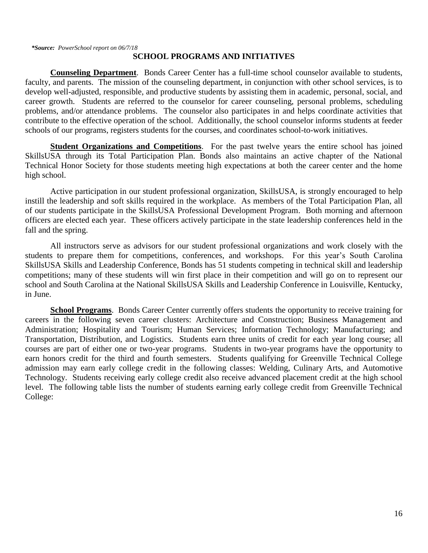## **SCHOOL PROGRAMS AND INITIATIVES**

**Counseling Department**. Bonds Career Center has a full-time school counselor available to students, faculty, and parents. The mission of the counseling department, in conjunction with other school services, is to develop well-adjusted, responsible, and productive students by assisting them in academic, personal, social, and career growth. Students are referred to the counselor for career counseling, personal problems, scheduling problems, and/or attendance problems. The counselor also participates in and helps coordinate activities that contribute to the effective operation of the school. Additionally, the school counselor informs students at feeder schools of our programs, registers students for the courses, and coordinates school-to-work initiatives.

**Student Organizations and Competitions**. For the past twelve years the entire school has joined SkillsUSA through its Total Participation Plan. Bonds also maintains an active chapter of the National Technical Honor Society for those students meeting high expectations at both the career center and the home high school.

Active participation in our student professional organization, SkillsUSA, is strongly encouraged to help instill the leadership and soft skills required in the workplace. As members of the Total Participation Plan, all of our students participate in the SkillsUSA Professional Development Program. Both morning and afternoon officers are elected each year. These officers actively participate in the state leadership conferences held in the fall and the spring.

All instructors serve as advisors for our student professional organizations and work closely with the students to prepare them for competitions, conferences, and workshops. For this year's South Carolina SkillsUSA Skills and Leadership Conference, Bonds has 51 students competing in technical skill and leadership competitions; many of these students will win first place in their competition and will go on to represent our school and South Carolina at the National SkillsUSA Skills and Leadership Conference in Louisville, Kentucky, in June.

**School Programs**. Bonds Career Center currently offers students the opportunity to receive training for careers in the following seven career clusters: Architecture and Construction; Business Management and Administration; Hospitality and Tourism; Human Services; Information Technology; Manufacturing; and Transportation, Distribution, and Logistics. Students earn three units of credit for each year long course; all courses are part of either one or two-year programs. Students in two-year programs have the opportunity to earn honors credit for the third and fourth semesters. Students qualifying for Greenville Technical College admission may earn early college credit in the following classes: Welding, Culinary Arts, and Automotive Technology. Students receiving early college credit also receive advanced placement credit at the high school level. The following table lists the number of students earning early college credit from Greenville Technical College: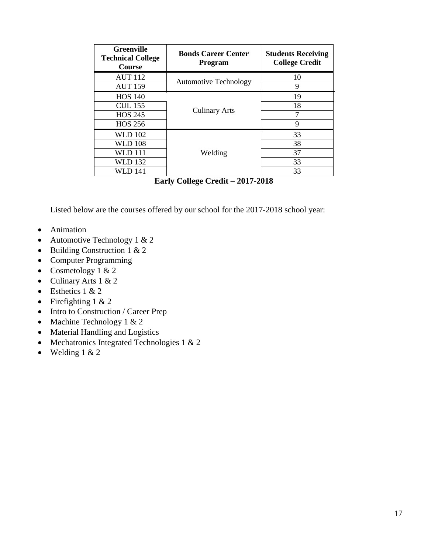| <b>Greenville</b><br><b>Technical College</b><br>Course                  | <b>Bonds Career Center</b><br><b>Program</b> | <b>Students Receiving</b><br><b>College Credit</b> |
|--------------------------------------------------------------------------|----------------------------------------------|----------------------------------------------------|
| <b>AUT 112</b><br><b>AUT 159</b>                                         | <b>Automotive Technology</b>                 | 10<br>9                                            |
| <b>HOS 140</b><br><b>CUL 155</b><br><b>HOS 245</b><br><b>HOS 256</b>     | <b>Culinary Arts</b>                         | 19<br>18<br>9                                      |
| <b>WLD 102</b><br><b>WLD 108</b><br><b>WLD</b> 111<br>WLD 132<br>WLD 141 | Welding                                      | 33<br>38<br>37<br>33<br>33                         |

**Early College Credit – 2017-2018**

Listed below are the courses offered by our school for the 2017-2018 school year:

- Animation
- Automotive Technology  $1 & 2$
- Building Construction 1 & 2
- Computer Programming
- Cosmetology 1 & 2
- Culinary Arts 1 & 2
- Esthetics  $1 & 2$
- Firefighting  $1 < 2$
- Intro to Construction / Career Prep
- Machine Technology 1 & 2
- Material Handling and Logistics
- Mechatronics Integrated Technologies  $1 < 2$
- $\bullet$  Welding 1 & 2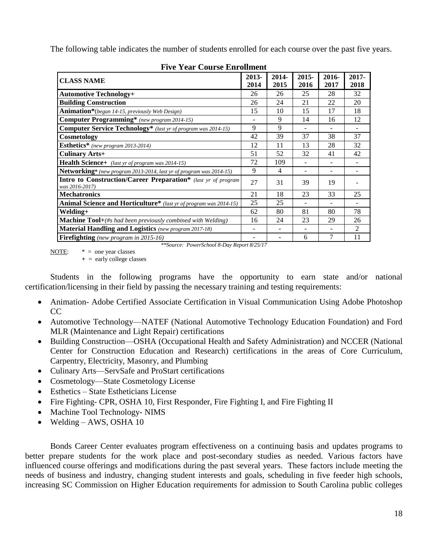The following table indicates the number of students enrolled for each course over the past five years.

| <b>CLASS NAME</b>                                                                       | 2013-<br>2014 | 2014-<br>2015  | $2015 -$<br>2016 | $2016 -$<br>2017 | $2017 -$<br>2018 |
|-----------------------------------------------------------------------------------------|---------------|----------------|------------------|------------------|------------------|
| <b>Automotive Technology+</b>                                                           | 26            | 26             | 25               | 28               | 32               |
| <b>Building Construction</b>                                                            | 26            | 24             | 21               | 22               | 20               |
| Animation*(began 14-15, previously Web Design)                                          | 15            | 10             | 15               | 17               | 18               |
| <b>Computer Programming*</b> (new program 2014-15)                                      |               | 9              | 14               | 16               | 12               |
| <b>Computer Service Technology</b> * (last yr of program was 2014-15)                   | 9             | 9              |                  |                  |                  |
| Cosmetology                                                                             | 42            | 39             | 37               | 38               | 37               |
| Esthetics* (new program 2013-2014)                                                      | 12            | 11             | 13               | 28               | 32               |
| <b>Culinary Arts+</b>                                                                   | 51            | 52             | 32               | 41               | 42               |
| Health Science+ (last yr of program was 2014-15)                                        | 72            | 109            |                  | ۰                |                  |
| Networking* (new program 2013-2014, last yr of program was 2014-15)                     | 9             | $\overline{4}$ |                  | -                |                  |
| <b>Intro to Construction/Career Preparation</b> * (last yr of program<br>was 2016-2017) | 27            | 31             | 39               | 19               |                  |
| <b>Mechatronics</b>                                                                     | 21            | 18             | 23               | 33               | 25               |
| Animal Science and Horticulture* (last yr of program was 2014-15)                       | 25            | 25             |                  |                  |                  |
| Welding+                                                                                | 62            | 80             | 81               | 80               | 78               |
| <b>Machine Tool</b> +(#s had been previously combined with Welding)                     | 16            | 24             | 23               | 29               | 26               |
| <b>Material Handling and Logistics</b> (new program 2017-18)                            |               |                |                  |                  | $\mathfrak{D}$   |
| Firefighting (new program in 2015-16)                                                   |               |                | 6                | 7                | 11               |

**Five Year Course Enrollment**

*\*\*Source: PowerSchool 8-Day Report 8/25/17*

NOTE:  $* =$  one year classes **+** = early college classes

Students in the following programs have the opportunity to earn state and/or national certification/licensing in their field by passing the necessary training and testing requirements:

- Animation- Adobe Certified Associate Certification in Visual Communication Using Adobe Photoshop CC
- Automotive Technology—NATEF (National Automotive Technology Education Foundation) and Ford MLR (Maintenance and Light Repair) certifications
- Building Construction—OSHA (Occupational Health and Safety Administration) and NCCER (National Center for Construction Education and Research) certifications in the areas of Core Curriculum, Carpentry, Electricity, Masonry, and Plumbing
- Culinary Arts—ServSafe and ProStart certifications
- Cosmetology—State Cosmetology License
- Esthetics State Estheticians License
- Fire Fighting- CPR, OSHA 10, First Responder, Fire Fighting I, and Fire Fighting II
- Machine Tool Technology- NIMS
- Welding AWS, OSHA 10

Bonds Career Center evaluates program effectiveness on a continuing basis and updates programs to better prepare students for the work place and post-secondary studies as needed. Various factors have influenced course offerings and modifications during the past several years. These factors include meeting the needs of business and industry, changing student interests and goals, scheduling in five feeder high schools, increasing SC Commission on Higher Education requirements for admission to South Carolina public colleges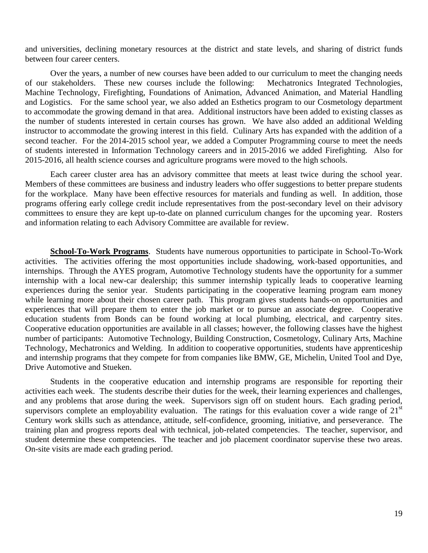and universities, declining monetary resources at the district and state levels, and sharing of district funds between four career centers.

Over the years, a number of new courses have been added to our curriculum to meet the changing needs of our stakeholders. These new courses include the following: Mechatronics Integrated Technologies, Machine Technology, Firefighting, Foundations of Animation, Advanced Animation, and Material Handling and Logistics. For the same school year, we also added an Esthetics program to our Cosmetology department to accommodate the growing demand in that area. Additional instructors have been added to existing classes as the number of students interested in certain courses has grown. We have also added an additional Welding instructor to accommodate the growing interest in this field. Culinary Arts has expanded with the addition of a second teacher. For the 2014-2015 school year, we added a Computer Programming course to meet the needs of students interested in Information Technology careers and in 2015-2016 we added Firefighting. Also for 2015-2016, all health science courses and agriculture programs were moved to the high schools.

Each career cluster area has an advisory committee that meets at least twice during the school year. Members of these committees are business and industry leaders who offer suggestions to better prepare students for the workplace. Many have been effective resources for materials and funding as well. In addition, those programs offering early college credit include representatives from the post-secondary level on their advisory committees to ensure they are kept up-to-date on planned curriculum changes for the upcoming year. Rosters and information relating to each Advisory Committee are available for review.

**School-To-Work Programs**. Students have numerous opportunities to participate in School-To-Work activities. The activities offering the most opportunities include shadowing, work-based opportunities, and internships. Through the AYES program, Automotive Technology students have the opportunity for a summer internship with a local new-car dealership; this summer internship typically leads to cooperative learning experiences during the senior year. Students participating in the cooperative learning program earn money while learning more about their chosen career path. This program gives students hands-on opportunities and experiences that will prepare them to enter the job market or to pursue an associate degree. Cooperative education students from Bonds can be found working at local plumbing, electrical, and carpentry sites. Cooperative education opportunities are available in all classes; however, the following classes have the highest number of participants: Automotive Technology, Building Construction, Cosmetology, Culinary Arts, Machine Technology, Mechatronics and Welding. In addition to cooperative opportunities, students have apprenticeship and internship programs that they compete for from companies like BMW, GE, Michelin, United Tool and Dye, Drive Automotive and Stueken.

Students in the cooperative education and internship programs are responsible for reporting their activities each week. The students describe their duties for the week, their learning experiences and challenges, and any problems that arose during the week. Supervisors sign off on student hours. Each grading period, supervisors complete an employability evaluation. The ratings for this evaluation cover a wide range of  $21<sup>st</sup>$ Century work skills such as attendance, attitude, self-confidence, grooming, initiative, and perseverance. The training plan and progress reports deal with technical, job-related competencies. The teacher, supervisor, and student determine these competencies. The teacher and job placement coordinator supervise these two areas. On-site visits are made each grading period.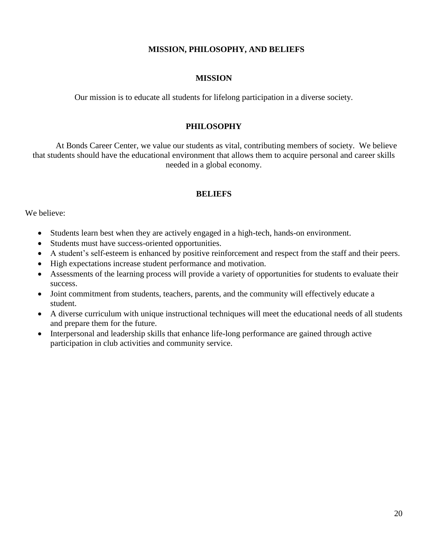## **MISSION, PHILOSOPHY, AND BELIEFS**

## **MISSION**

Our mission is to educate all students for lifelong participation in a diverse society.

## **PHILOSOPHY**

At Bonds Career Center, we value our students as vital, contributing members of society. We believe that students should have the educational environment that allows them to acquire personal and career skills needed in a global economy.

## **BELIEFS**

We believe:

- Students learn best when they are actively engaged in a high-tech, hands-on environment.
- Students must have success-oriented opportunities.
- A student's self-esteem is enhanced by positive reinforcement and respect from the staff and their peers.
- High expectations increase student performance and motivation.
- Assessments of the learning process will provide a variety of opportunities for students to evaluate their success.
- Joint commitment from students, teachers, parents, and the community will effectively educate a student.
- A diverse curriculum with unique instructional techniques will meet the educational needs of all students and prepare them for the future.
- Interpersonal and leadership skills that enhance life-long performance are gained through active participation in club activities and community service.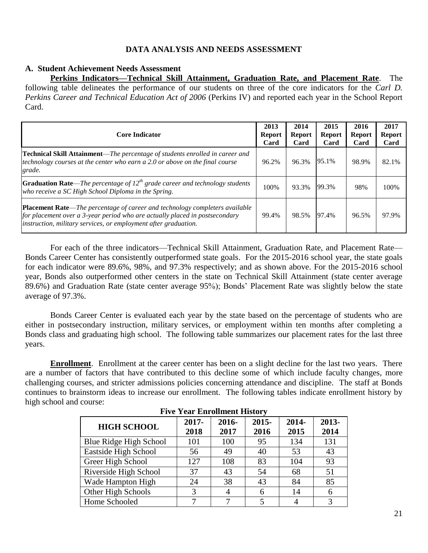## **DATA ANALYSIS AND NEEDS ASSESSMENT**

## **A. Student Achievement Needs Assessment**

**Perkins Indicators—Technical Skill Attainment, Graduation Rate, and Placement Rate**. The following table delineates the performance of our students on three of the core indicators for the *Carl D. Perkins Career and Technical Education Act of 2006* (Perkins IV) and reported each year in the School Report Card.

| <b>Core Indicator</b>                                                                                                                                                                                                                | 2013<br><b>Report</b><br>Card | 2014<br><b>Report</b><br>Card | 2015<br><b>Report</b><br>Card | 2016<br><b>Report</b><br>Card | 2017<br><b>Report</b><br>Card |
|--------------------------------------------------------------------------------------------------------------------------------------------------------------------------------------------------------------------------------------|-------------------------------|-------------------------------|-------------------------------|-------------------------------|-------------------------------|
| Technical Skill Attainment—The percentage of students enrolled in career and<br>technology courses at the center who earn a 2.0 or above on the final course<br>grade.                                                               | 96.2%                         | 96.3%                         | 95.1%                         | 98.9%                         | 82.1%                         |
| <b>Graduation Rate—The percentage of 12<sup>th</sup> grade career and technology students</b><br>who receive a SC High School Diploma in the Spring.                                                                                 | 100%                          | 93.3%                         | 99.3%                         | 98%                           | 100%                          |
| Placement Rate-The percentage of career and technology completers available<br>$\int$ for placement over a 3-year period who are actually placed in postsecondary<br>instruction, military services, or employment after graduation. | 99.4%                         | 98.5%                         | 97.4%                         | 96.5%                         | 97.9%                         |

For each of the three indicators—Technical Skill Attainment, Graduation Rate, and Placement Rate— Bonds Career Center has consistently outperformed state goals. For the 2015-2016 school year, the state goals for each indicator were 89.6%, 98%, and 97.3% respectively; and as shown above. For the 2015-2016 school year, Bonds also outperformed other centers in the state on Technical Skill Attainment (state center average 89.6%) and Graduation Rate (state center average 95%); Bonds' Placement Rate was slightly below the state average of 97.3%.

Bonds Career Center is evaluated each year by the state based on the percentage of students who are either in postsecondary instruction, military services, or employment within ten months after completing a Bonds class and graduating high school. The following table summarizes our placement rates for the last three years.

**Enrollment**. Enrollment at the career center has been on a slight decline for the last two years. There are a number of factors that have contributed to this decline some of which include faculty changes, more challenging courses, and stricter admissions policies concerning attendance and discipline. The staff at Bonds continues to brainstorm ideas to increase our enrollment. The following tables indicate enrollment history by high school and course:

| TIVE Teat Einforment History |               |               |                  |               |               |  |  |  |  |
|------------------------------|---------------|---------------|------------------|---------------|---------------|--|--|--|--|
| <b>HIGH SCHOOL</b>           | 2017-<br>2018 | 2016-<br>2017 | $2015 -$<br>2016 | 2014-<br>2015 | 2013-<br>2014 |  |  |  |  |
| Blue Ridge High School       | 101           | 100           | 95               | 134           | 131           |  |  |  |  |
| Eastside High School         | 56            | 49            | 40               | 53            | 43            |  |  |  |  |
| Greer High School            | 127           | 108           | 83               | 104           | 93            |  |  |  |  |
| Riverside High School        | 37            | 43            | 54               | 68            | 51            |  |  |  |  |
| Wade Hampton High            | 24            | 38            | 43               | 84            | 85            |  |  |  |  |
| Other High Schools           | 3             |               | 6                | 14            | 6             |  |  |  |  |
| Home Schooled                |               |               |                  |               | 3             |  |  |  |  |

## **Five Year Enrollment History**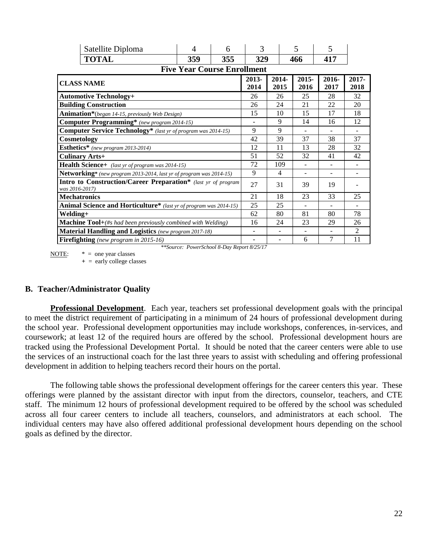| Satellite Diploma                                                                       | 4                                  | 6   | 3              |               | 5                | 5             |                |
|-----------------------------------------------------------------------------------------|------------------------------------|-----|----------------|---------------|------------------|---------------|----------------|
| <b>TOTAL</b>                                                                            | 359                                | 355 | 329            |               | 466              | 417           |                |
|                                                                                         | <b>Five Year Course Enrollment</b> |     |                |               |                  |               |                |
| <b>CLASS NAME</b>                                                                       |                                    |     |                | 2014-<br>2015 | $2015 -$<br>2016 | 2016-<br>2017 | 2017-<br>2018  |
| <b>Automotive Technology+</b>                                                           |                                    |     | 26             | 26            | 25               | 28            | 32             |
| <b>Building Construction</b>                                                            |                                    |     | 26             | 24            | 21               | 22            | 20             |
| Animation*(began 14-15, previously Web Design)                                          |                                    |     | 15             | 10            | 15               | 17            | 18             |
| Computer Programming* (new program 2014-15)                                             |                                    |     |                | 9             | 14               | 16            | 12             |
| <b>Computer Service Technology</b> * (last yr of program was 2014-15)                   |                                    |     | 9              | 9             | $\blacksquare$   | ۰             | $\blacksquare$ |
| Cosmetology                                                                             |                                    |     | 42             | 39            | 37               | 38            | 37             |
| Esthetics* (new program 2013-2014)                                                      |                                    |     | 12             | 11            | 13               | 28            | 32             |
| <b>Culinary Arts+</b>                                                                   |                                    |     | 51             | 52            | 32               | 41            | 42             |
| Health Science+ (last yr of program was 2014-15)                                        |                                    |     | 72             | 109           |                  |               |                |
| Networking* (new program 2013-2014, last yr of program was 2014-15)                     |                                    |     | 9              | 4             |                  |               |                |
| <b>Intro to Construction/Career Preparation</b> * (last yr of program<br>was 2016-2017) |                                    |     | 27             | 31            | 39               | 19            |                |
| <b>Mechatronics</b>                                                                     |                                    |     | 21             | 18            | 23               | 33            | 25             |
| Animal Science and Horticulture* (last yr of program was 2014-15)                       |                                    |     | 25             | 25            |                  |               |                |
| Welding+                                                                                |                                    |     | 62             | 80            | 81               | 80            | 78             |
| Machine Tool+(#s had been previously combined with Welding)                             |                                    |     | 16             | 24            | 23               | 29            | 26             |
| <b>Material Handling and Logistics</b> (new program 2017-18)                            |                                    |     | $\overline{a}$ |               |                  |               | $\mathfrak{D}$ |
| <b>Firefighting</b> (new program in 2015-16)                                            |                                    |     |                | ۰             | 6                | 7             | 11             |

*\*\*Source: PowerSchool 8-Day Report 8/25/17*

NOTE:  $* =$  one year classes **+** = early college classes

## **B. Teacher/Administrator Quality**

**Professional Development**. Each year, teachers set professional development goals with the principal to meet the district requirement of participating in a minimum of 24 hours of professional development during the school year. Professional development opportunities may include workshops, conferences, in-services, and coursework; at least 12 of the required hours are offered by the school. Professional development hours are tracked using the Professional Development Portal. It should be noted that the career centers were able to use the services of an instructional coach for the last three years to assist with scheduling and offering professional development in addition to helping teachers record their hours on the portal.

The following table shows the professional development offerings for the career centers this year. These offerings were planned by the assistant director with input from the directors, counselor, teachers, and CTE staff. The minimum 12 hours of professional development required to be offered by the school was scheduled across all four career centers to include all teachers, counselors, and administrators at each school. The individual centers may have also offered additional professional development hours depending on the school goals as defined by the director.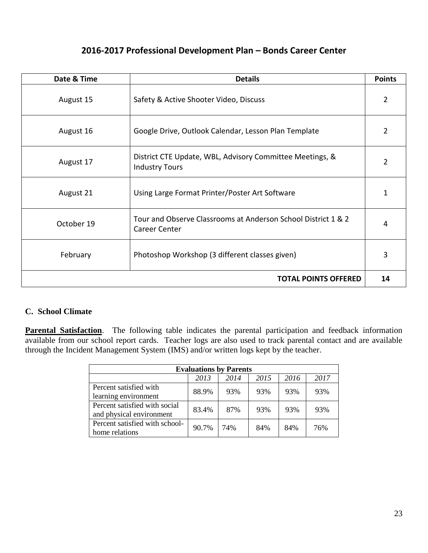# **2016-2017 Professional Development Plan – Bonds Career Center**

| Date & Time | <b>Details</b>                                                                        | <b>Points</b> |
|-------------|---------------------------------------------------------------------------------------|---------------|
| August 15   | Safety & Active Shooter Video, Discuss                                                | 2             |
| August 16   | Google Drive, Outlook Calendar, Lesson Plan Template                                  | 2             |
| August 17   | District CTE Update, WBL, Advisory Committee Meetings, &<br><b>Industry Tours</b>     | $\mathfrak z$ |
| August 21   | Using Large Format Printer/Poster Art Software                                        | 1             |
| October 19  | Tour and Observe Classrooms at Anderson School District 1 & 2<br><b>Career Center</b> | 4             |
| February    | Photoshop Workshop (3 different classes given)                                        | 3             |
|             | <b>TOTAL POINTS OFFERED</b>                                                           | 14            |

## **C. School Climate**

**Parental Satisfaction**. The following table indicates the parental participation and feedback information available from our school report cards. Teacher logs are also used to track parental contact and are available through the Incident Management System (IMS) and/or written logs kept by the teacher.

| <b>Evaluations by Parents</b>  |       |      |      |      |      |  |  |  |  |
|--------------------------------|-------|------|------|------|------|--|--|--|--|
|                                | 2013  | 2014 | 2015 | 2016 | 2017 |  |  |  |  |
| Percent satisfied with         | 88.9% | 93%  | 93%  | 93%  | 93%  |  |  |  |  |
| learning environment           |       |      |      |      |      |  |  |  |  |
| Percent satisfied with social  | 83.4% | 87%  | 93%  | 93%  | 93%  |  |  |  |  |
| and physical environment       |       |      |      |      |      |  |  |  |  |
| Percent satisfied with school- | 90.7% | 74%  | 84%  | 84%  | 76%  |  |  |  |  |
| home relations                 |       |      |      |      |      |  |  |  |  |